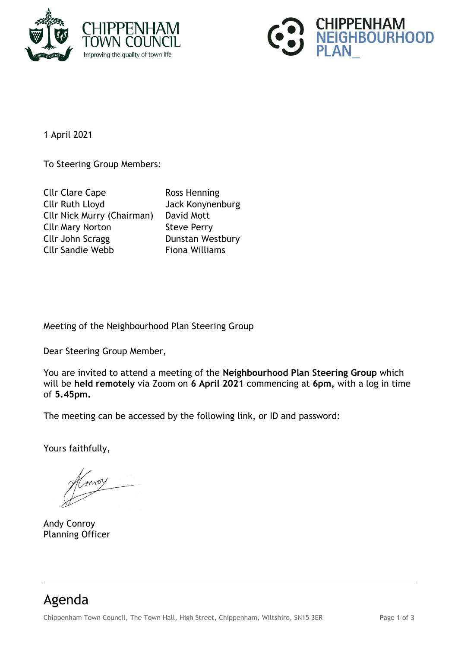



1 April 2021

To Steering Group Members:

| <b>Cllr Clare Cape</b>            | Ross Henning          |
|-----------------------------------|-----------------------|
| <b>Cllr Ruth Lloyd</b>            | Jack Konynenburg      |
| <b>Cllr Nick Murry (Chairman)</b> | David Mott            |
| <b>Cllr Mary Norton</b>           | <b>Steve Perry</b>    |
| Cllr John Scragg                  | Dunstan Westbury      |
| <b>Cllr Sandie Webb</b>           | <b>Fiona Williams</b> |

Meeting of the Neighbourhood Plan Steering Group

Dear Steering Group Member,

You are invited to attend a meeting of the **Neighbourhood Plan Steering Group** which will be **held remotely** via Zoom on **6 April 2021** commencing at **6pm,** with a log in time of **5.45pm.**

The meeting can be accessed by the following link, or ID and password:

Yours faithfully,

moy

Andy Conroy Planning Officer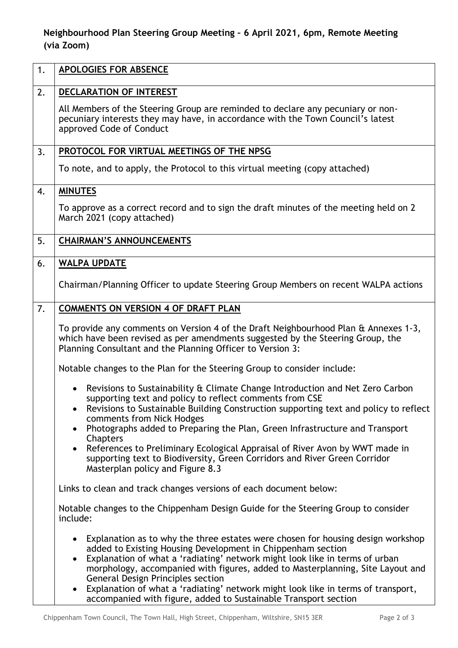## **Neighbourhood Plan Steering Group Meeting – 6 April 2021, 6pm, Remote Meeting (via Zoom)**

| 1. | <b>APOLOGIES FOR ABSENCE</b>                                                                                                                                                                                                                                                                                                                                                                                                                                                                                                                 |
|----|----------------------------------------------------------------------------------------------------------------------------------------------------------------------------------------------------------------------------------------------------------------------------------------------------------------------------------------------------------------------------------------------------------------------------------------------------------------------------------------------------------------------------------------------|
| 2. | DECLARATION OF INTEREST                                                                                                                                                                                                                                                                                                                                                                                                                                                                                                                      |
|    | All Members of the Steering Group are reminded to declare any pecuniary or non-<br>pecuniary interests they may have, in accordance with the Town Council's latest<br>approved Code of Conduct                                                                                                                                                                                                                                                                                                                                               |
| 3. | PROTOCOL FOR VIRTUAL MEETINGS OF THE NPSG                                                                                                                                                                                                                                                                                                                                                                                                                                                                                                    |
|    | To note, and to apply, the Protocol to this virtual meeting (copy attached)                                                                                                                                                                                                                                                                                                                                                                                                                                                                  |
| 4. | <b>MINUTES</b>                                                                                                                                                                                                                                                                                                                                                                                                                                                                                                                               |
|    | To approve as a correct record and to sign the draft minutes of the meeting held on 2<br>March 2021 (copy attached)                                                                                                                                                                                                                                                                                                                                                                                                                          |
| 5. | <b>CHAIRMAN'S ANNOUNCEMENTS</b>                                                                                                                                                                                                                                                                                                                                                                                                                                                                                                              |
| 6. | <b>WALPA UPDATE</b>                                                                                                                                                                                                                                                                                                                                                                                                                                                                                                                          |
|    | Chairman/Planning Officer to update Steering Group Members on recent WALPA actions                                                                                                                                                                                                                                                                                                                                                                                                                                                           |
| 7. | <b>COMMENTS ON VERSION 4 OF DRAFT PLAN</b>                                                                                                                                                                                                                                                                                                                                                                                                                                                                                                   |
|    | To provide any comments on Version 4 of the Draft Neighbourhood Plan & Annexes 1-3,<br>which have been revised as per amendments suggested by the Steering Group, the<br>Planning Consultant and the Planning Officer to Version 3:                                                                                                                                                                                                                                                                                                          |
|    | Notable changes to the Plan for the Steering Group to consider include:                                                                                                                                                                                                                                                                                                                                                                                                                                                                      |
|    | Revisions to Sustainability & Climate Change Introduction and Net Zero Carbon<br>supporting text and policy to reflect comments from CSE<br>Revisions to Sustainable Building Construction supporting text and policy to reflect<br>comments from Nick Hodges<br>Photographs added to Preparing the Plan, Green Infrastructure and Transport<br>$\bullet$<br>Chapters                                                                                                                                                                        |
|    | References to Preliminary Ecological Appraisal of River Avon by WWT made in<br>supporting text to Biodiversity, Green Corridors and River Green Corridor<br>Masterplan policy and Figure 8.3                                                                                                                                                                                                                                                                                                                                                 |
|    | Links to clean and track changes versions of each document below:                                                                                                                                                                                                                                                                                                                                                                                                                                                                            |
|    | Notable changes to the Chippenham Design Guide for the Steering Group to consider<br>include:                                                                                                                                                                                                                                                                                                                                                                                                                                                |
|    | Explanation as to why the three estates were chosen for housing design workshop<br>$\bullet$<br>added to Existing Housing Development in Chippenham section<br>Explanation of what a 'radiating' network might look like in terms of urban<br>$\bullet$<br>morphology, accompanied with figures, added to Masterplanning, Site Layout and<br><b>General Design Principles section</b><br>Explanation of what a 'radiating' network might look like in terms of transport,<br>accompanied with figure, added to Sustainable Transport section |